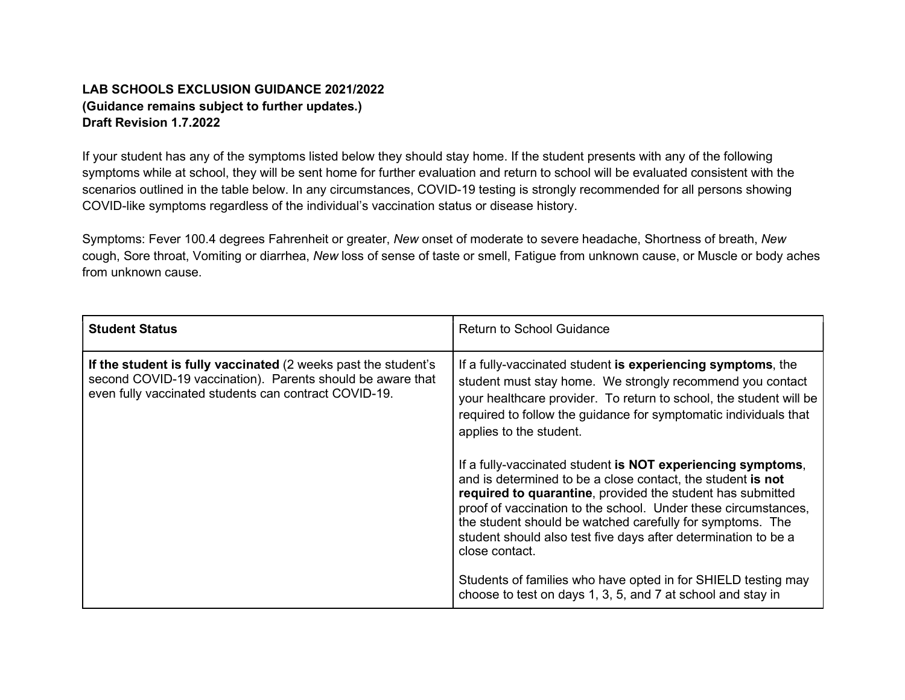## LAB SCHOOLS EXCLUSION GUIDANCE 2021/2022 (Guidance remains subject to further updates.) Draft Revision 1.7.2022

If your student has any of the symptoms listed below they should stay home. If the student presents with any of the following symptoms while at school, they will be sent home for further evaluation and return to school will be evaluated consistent with the scenarios outlined in the table below. In any circumstances, COVID-19 testing is strongly recommended for all persons showing COVID-like symptoms regardless of the individual's vaccination status or disease history.

Symptoms: Fever 100.4 degrees Fahrenheit or greater, New onset of moderate to severe headache, Shortness of breath, New cough, Sore throat, Vomiting or diarrhea, New loss of sense of taste or smell, Fatigue from unknown cause, or Muscle or body aches from unknown cause.

| <b>Student Status</b>                                                                                                                                                                 | <b>Return to School Guidance</b>                                                                                                                                                                                                                                                                                                                                                                            |
|---------------------------------------------------------------------------------------------------------------------------------------------------------------------------------------|-------------------------------------------------------------------------------------------------------------------------------------------------------------------------------------------------------------------------------------------------------------------------------------------------------------------------------------------------------------------------------------------------------------|
| If the student is fully vaccinated (2 weeks past the student's<br>second COVID-19 vaccination). Parents should be aware that<br>even fully vaccinated students can contract COVID-19. | If a fully-vaccinated student is experiencing symptoms, the<br>student must stay home. We strongly recommend you contact<br>your healthcare provider. To return to school, the student will be<br>required to follow the guidance for symptomatic individuals that<br>applies to the student.                                                                                                               |
|                                                                                                                                                                                       | If a fully-vaccinated student is NOT experiencing symptoms,<br>and is determined to be a close contact, the student is not<br>required to quarantine, provided the student has submitted<br>proof of vaccination to the school. Under these circumstances,<br>the student should be watched carefully for symptoms. The<br>student should also test five days after determination to be a<br>close contact. |
|                                                                                                                                                                                       | Students of families who have opted in for SHIELD testing may<br>choose to test on days 1, 3, 5, and 7 at school and stay in                                                                                                                                                                                                                                                                                |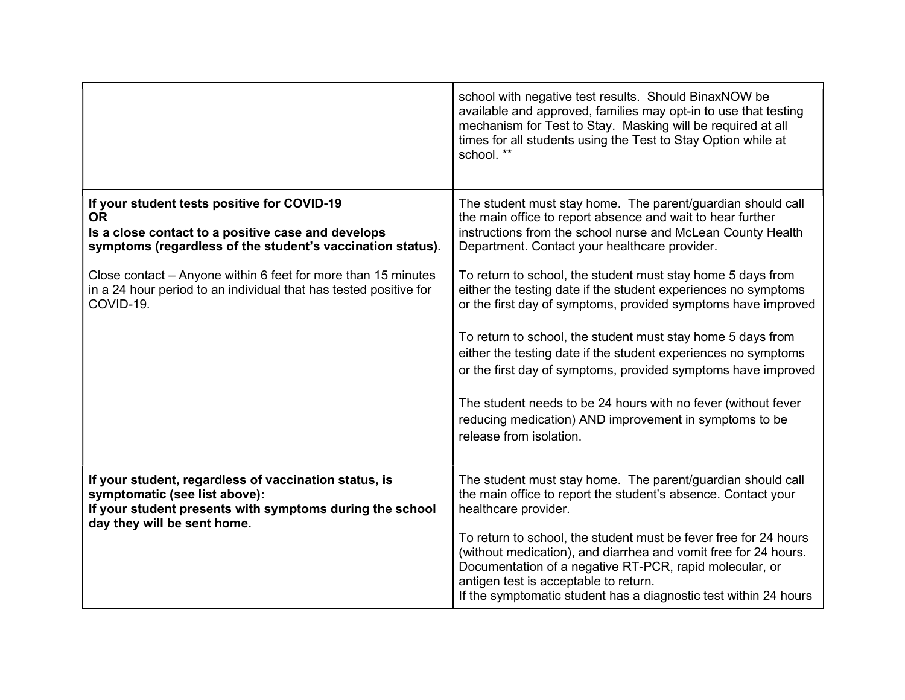|                                                                                                                                                                                                                                                                                                                                 | school with negative test results. Should BinaxNOW be<br>available and approved, families may opt-in to use that testing<br>mechanism for Test to Stay. Masking will be required at all<br>times for all students using the Test to Stay Option while at<br>school. **                                                                                                                                                                                                                                                                                                                                                                        |
|---------------------------------------------------------------------------------------------------------------------------------------------------------------------------------------------------------------------------------------------------------------------------------------------------------------------------------|-----------------------------------------------------------------------------------------------------------------------------------------------------------------------------------------------------------------------------------------------------------------------------------------------------------------------------------------------------------------------------------------------------------------------------------------------------------------------------------------------------------------------------------------------------------------------------------------------------------------------------------------------|
| If your student tests positive for COVID-19<br><b>OR</b><br>Is a close contact to a positive case and develops<br>symptoms (regardless of the student's vaccination status).<br>Close contact – Anyone within 6 feet for more than 15 minutes<br>in a 24 hour period to an individual that has tested positive for<br>COVID-19. | The student must stay home. The parent/guardian should call<br>the main office to report absence and wait to hear further<br>instructions from the school nurse and McLean County Health<br>Department. Contact your healthcare provider.<br>To return to school, the student must stay home 5 days from<br>either the testing date if the student experiences no symptoms<br>or the first day of symptoms, provided symptoms have improved<br>To return to school, the student must stay home 5 days from<br>either the testing date if the student experiences no symptoms<br>or the first day of symptoms, provided symptoms have improved |
|                                                                                                                                                                                                                                                                                                                                 | The student needs to be 24 hours with no fever (without fever<br>reducing medication) AND improvement in symptoms to be<br>release from isolation.                                                                                                                                                                                                                                                                                                                                                                                                                                                                                            |
| If your student, regardless of vaccination status, is<br>symptomatic (see list above):<br>If your student presents with symptoms during the school<br>day they will be sent home.                                                                                                                                               | The student must stay home. The parent/guardian should call<br>the main office to report the student's absence. Contact your<br>healthcare provider.<br>To return to school, the student must be fever free for 24 hours<br>(without medication), and diarrhea and vomit free for 24 hours.<br>Documentation of a negative RT-PCR, rapid molecular, or<br>antigen test is acceptable to return.<br>If the symptomatic student has a diagnostic test within 24 hours                                                                                                                                                                           |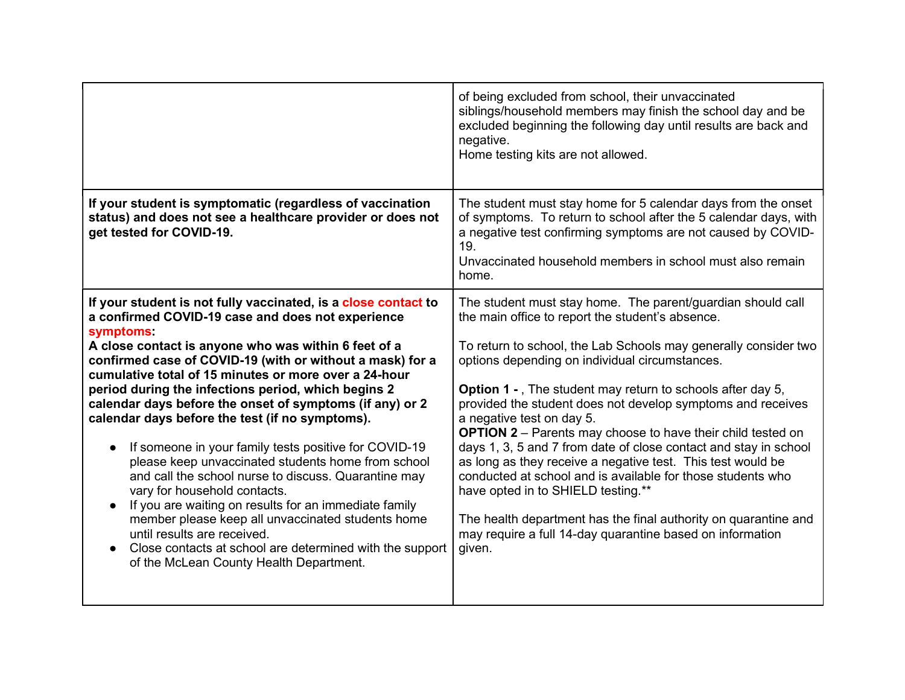|                                                                                                                                                                                                                                                                                                                                                                                                                                                                                                                                                                                                                                                                                                                                                                                                                                                                                                                                                              | of being excluded from school, their unvaccinated<br>siblings/household members may finish the school day and be<br>excluded beginning the following day until results are back and<br>negative.<br>Home testing kits are not allowed.                                                                                                                                                                                                                                                                                                                                                                                                                                                                                                                                                                                                                         |
|--------------------------------------------------------------------------------------------------------------------------------------------------------------------------------------------------------------------------------------------------------------------------------------------------------------------------------------------------------------------------------------------------------------------------------------------------------------------------------------------------------------------------------------------------------------------------------------------------------------------------------------------------------------------------------------------------------------------------------------------------------------------------------------------------------------------------------------------------------------------------------------------------------------------------------------------------------------|----------------------------------------------------------------------------------------------------------------------------------------------------------------------------------------------------------------------------------------------------------------------------------------------------------------------------------------------------------------------------------------------------------------------------------------------------------------------------------------------------------------------------------------------------------------------------------------------------------------------------------------------------------------------------------------------------------------------------------------------------------------------------------------------------------------------------------------------------------------|
| If your student is symptomatic (regardless of vaccination<br>status) and does not see a healthcare provider or does not<br>get tested for COVID-19.                                                                                                                                                                                                                                                                                                                                                                                                                                                                                                                                                                                                                                                                                                                                                                                                          | The student must stay home for 5 calendar days from the onset<br>of symptoms. To return to school after the 5 calendar days, with<br>a negative test confirming symptoms are not caused by COVID-<br>19.<br>Unvaccinated household members in school must also remain<br>home.                                                                                                                                                                                                                                                                                                                                                                                                                                                                                                                                                                                 |
| If your student is not fully vaccinated, is a close contact to<br>a confirmed COVID-19 case and does not experience<br>symptoms:<br>A close contact is anyone who was within 6 feet of a<br>confirmed case of COVID-19 (with or without a mask) for a<br>cumulative total of 15 minutes or more over a 24-hour<br>period during the infections period, which begins 2<br>calendar days before the onset of symptoms (if any) or 2<br>calendar days before the test (if no symptoms).<br>If someone in your family tests positive for COVID-19<br>$\bullet$<br>please keep unvaccinated students home from school<br>and call the school nurse to discuss. Quarantine may<br>vary for household contacts.<br>If you are waiting on results for an immediate family<br>member please keep all unvaccinated students home<br>until results are received.<br>Close contacts at school are determined with the support<br>of the McLean County Health Department. | The student must stay home. The parent/guardian should call<br>the main office to report the student's absence.<br>To return to school, the Lab Schools may generally consider two<br>options depending on individual circumstances.<br><b>Option 1 -</b> , The student may return to schools after day 5,<br>provided the student does not develop symptoms and receives<br>a negative test on day 5.<br><b>OPTION 2</b> – Parents may choose to have their child tested on<br>days 1, 3, 5 and 7 from date of close contact and stay in school<br>as long as they receive a negative test. This test would be<br>conducted at school and is available for those students who<br>have opted in to SHIELD testing.**<br>The health department has the final authority on quarantine and<br>may require a full 14-day quarantine based on information<br>given. |